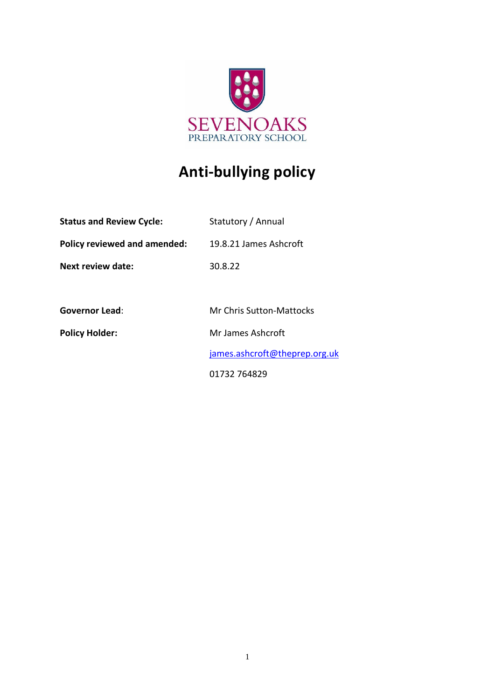

# **Anti-bullying policy**

| <b>Status and Review Cycle:</b> | Statutory / Annual              |
|---------------------------------|---------------------------------|
| Policy reviewed and amended:    | 19.8.21 James Ashcroft          |
| Next review date:               | 30.8.22                         |
|                                 |                                 |
| <b>Governor Lead:</b>           | <b>Mr Chris Sutton-Mattocks</b> |
| <b>Policy Holder:</b>           | Mr James Ashcroft               |
|                                 | james.ashcroft@theprep.org.uk   |
|                                 | 01732 764829                    |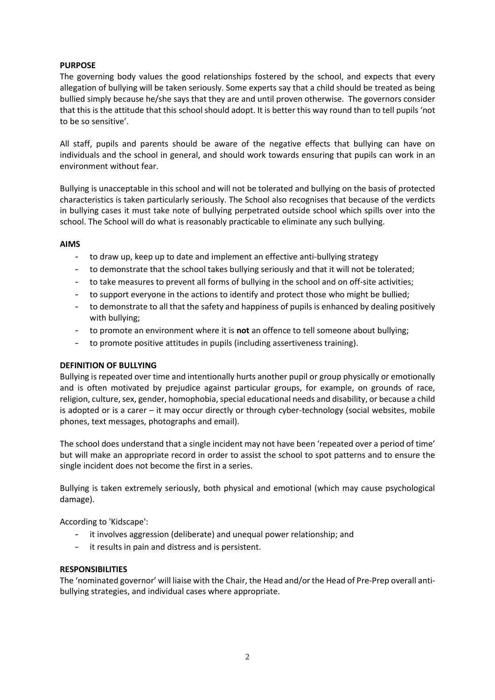# **PURPOSE**

The governing body values the good relationships fostered by the school, and expects that every allegation of bullying will be taken seriously. Some experts say that a child should be treated as being bullied simply because he/she says that they are and until proven otherwise. The governors consider that this is the attitude that this school should adopt. It is better this way round than to tell pupils 'not to be so sensitive'.

All staff, pupils and parents should be aware of the negative effects that bullying can have on individuals and the school in general, and should work towards ensuring that pupils can work in an environment without fear.

Bullying is unacceptable in this school and will not be tolerated and bullying on the basis of protected characteristics is taken particularly seriously. The School also recognises that because of the verdicts in bullying cases it must take note of bullying perpetrated outside school which spills over into the school. The School will do what is reasonably practicable to eliminate any such bullying.

#### **AIMS**

- to draw up, keep up to date and implement an effective anti-bullying strategy
- to demonstrate that the school takes bullying seriously and that it will not be tolerated;
- to take measures to prevent all forms of bullying in the school and on off-site activities;
- to support everyone in the actions to identify and protect those who might be bullied;
- to demonstrate to all that the safety and happiness of pupils is enhanced by dealing positively with bullying;
- to promote an environment where it is **not** an offence to tell someone about bullying;
- to promote positive attitudes in pupils (including assertiveness training).

#### **DEFINITION OF BULLYING**

Bullying is repeated over time and intentionally hurts another pupil or group physically or emotionally and is often motivated by prejudice against particular groups, for example, on grounds of race, religion, culture, sex, gender, homophobia, special educational needs and disability, or because a child is adopted or is a carer – it may occur directly or through cyber-technology (social websites, mobile phones, text messages, photographs and email).

The school does understand that a single incident may not have been 'repeated over a period of time' but will make an appropriate record in order to assist the school to spot patterns and to ensure the single incident does not become the first in a series.

Bullying is taken extremely seriously, both physical and emotional (which may cause psychological damage).

According to 'Kidscape':

- it involves aggression (deliberate) and unequal power relationship; and
- it results in pain and distress and is persistent.

#### **RESPONSIBILITIES**

The 'nominated governor' will liaise with the Chair, the Head and/or the Head of Pre-Prep overall antibullying strategies, and individual cases where appropriate.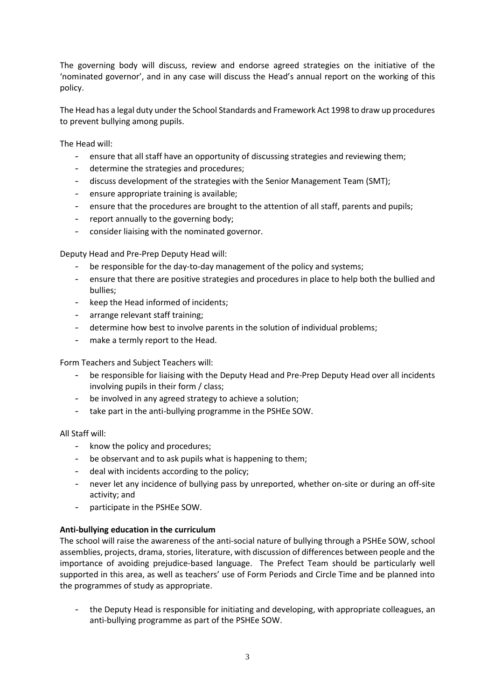The governing body will discuss, review and endorse agreed strategies on the initiative of the 'nominated governor', and in any case will discuss the Head's annual report on the working of this policy.

The Head has a legal duty under the School Standards and Framework Act 1998 to draw up procedures to prevent bullying among pupils.

The Head will:

- ensure that all staff have an opportunity of discussing strategies and reviewing them;
- determine the strategies and procedures;
- discuss development of the strategies with the Senior Management Team (SMT);
- ensure appropriate training is available;
- ensure that the procedures are brought to the attention of all staff, parents and pupils;
- report annually to the governing body;
- consider liaising with the nominated governor.

Deputy Head and Pre-Prep Deputy Head will:

- be responsible for the day-to-day management of the policy and systems;
- ensure that there are positive strategies and procedures in place to help both the bullied and bullies;
- keep the Head informed of incidents;
- arrange relevant staff training;
- determine how best to involve parents in the solution of individual problems;
- make a termly report to the Head.

Form Teachers and Subject Teachers will:

- be responsible for liaising with the Deputy Head and Pre-Prep Deputy Head over all incidents involving pupils in their form / class;
- be involved in any agreed strategy to achieve a solution;
- take part in the anti-bullying programme in the PSHEe SOW.

#### All Staff will:

- know the policy and procedures;
- be observant and to ask pupils what is happening to them;
- deal with incidents according to the policy;
- never let any incidence of bullying pass by unreported, whether on-site or during an off-site activity; and
- participate in the PSHEe SOW.

#### **Anti-bullying education in the curriculum**

The school will raise the awareness of the anti-social nature of bullying through a PSHEe SOW, school assemblies, projects, drama, stories, literature, with discussion of differences between people and the importance of avoiding prejudice-based language. The Prefect Team should be particularly well supported in this area, as well as teachers' use of Form Periods and Circle Time and be planned into the programmes of study as appropriate.

the Deputy Head is responsible for initiating and developing, with appropriate colleagues, an anti-bullying programme as part of the PSHEe SOW.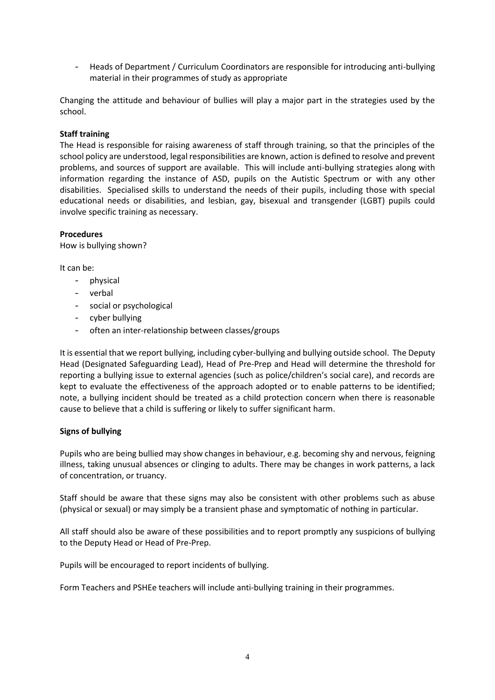- Heads of Department / Curriculum Coordinators are responsible for introducing anti-bullying material in their programmes of study as appropriate

Changing the attitude and behaviour of bullies will play a major part in the strategies used by the school.

#### **Staff training**

The Head is responsible for raising awareness of staff through training, so that the principles of the school policy are understood, legal responsibilities are known, action is defined to resolve and prevent problems, and sources of support are available. This will include anti-bullying strategies along with information regarding the instance of ASD, pupils on the Autistic Spectrum or with any other disabilities. Specialised skills to understand the needs of their pupils, including those with special educational needs or disabilities, and lesbian, gay, bisexual and transgender (LGBT) pupils could involve specific training as necessary.

# **Procedures**

How is bullying shown?

It can be:

- physical
- verbal
- social or psychological
- cyber bullying
- often an inter-relationship between classes/groups

It is essential that we report bullying, including cyber-bullying and bullying outside school. The Deputy Head (Designated Safeguarding Lead), Head of Pre-Prep and Head will determine the threshold for reporting a bullying issue to external agencies (such as police/children's social care), and records are kept to evaluate the effectiveness of the approach adopted or to enable patterns to be identified; note, a bullying incident should be treated as a child protection concern when there is reasonable cause to believe that a child is suffering or likely to suffer significant harm.

#### **Signs of bullying**

Pupils who are being bullied may show changes in behaviour, e.g. becoming shy and nervous, feigning illness, taking unusual absences or clinging to adults. There may be changes in work patterns, a lack of concentration, or truancy.

Staff should be aware that these signs may also be consistent with other problems such as abuse (physical or sexual) or may simply be a transient phase and symptomatic of nothing in particular.

All staff should also be aware of these possibilities and to report promptly any suspicions of bullying to the Deputy Head or Head of Pre-Prep.

Pupils will be encouraged to report incidents of bullying.

Form Teachers and PSHEe teachers will include anti-bullying training in their programmes.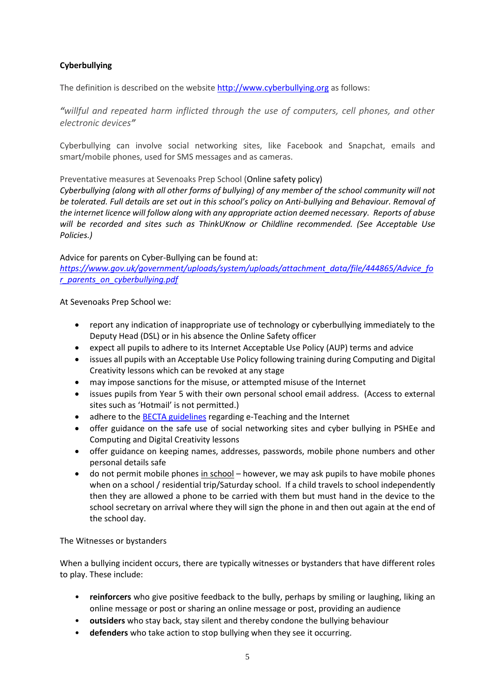# **Cyberbullying**

The definition is described on the website [http://www.cyberbullying.org](http://www.cyberbullying.org/) as follows:

*"willful and repeated harm inflicted through the use of computers, cell phones, and other electronic devices"*

Cyberbullying can involve social networking sites, like Facebook and Snapchat, emails and smart/mobile phones, used for SMS messages and as cameras.

Preventative measures at Sevenoaks Prep School (Online safety policy)

*Cyberbullying (along with all other forms of bullying) of any member of the school community will not be tolerated. Full details are set out in this school's policy on Anti-bullying and Behaviour. Removal of the internet licence will follow along with any appropriate action deemed necessary. Reports of abuse will be recorded and sites such as ThinkUKnow or Childline recommended. (See Acceptable Use Policies.)*

Advice for parents on Cyber-Bullying can be found at:

*[https://www.gov.uk/government/uploads/system/uploads/attachment\\_data/file/444865/Advice\\_fo](https://www.gov.uk/government/uploads/system/uploads/attachment_data/file/444865/Advice_for_parents_on_cyberbullying.pdf) [r\\_parents\\_on\\_cyberbullying.pdf](https://www.gov.uk/government/uploads/system/uploads/attachment_data/file/444865/Advice_for_parents_on_cyberbullying.pdf)*

At Sevenoaks Prep School we:

- report any indication of inappropriate use of technology or cyberbullying immediately to the Deputy Head (DSL) or in his absence the Online Safety officer
- expect all pupils to adhere to its Internet Acceptable Use Policy (AUP) terms and advice
- issues all pupils with an Acceptable Use Policy following training during Computing and Digital Creativity lessons which can be revoked at any stage
- may impose sanctions for the misuse, or attempted misuse of the Internet
- issues pupils from Year 5 with their own personal school email address. (Access to external sites such as 'Hotmail' is not permitted.)
- adhere to th[e BECTA guidelines](http://www.mmiweb.org.uk/publications/ict/Advice_Class%20Assts.pdf) regarding e-Teaching and the Internet
- offer guidance on the safe use of social networking sites and cyber bullying in PSHEe and Computing and Digital Creativity lessons
- offer guidance on keeping names, addresses, passwords, mobile phone numbers and other personal details safe
- do not permit mobile phones in school however, we may ask pupils to have mobile phones when on a school / residential trip/Saturday school. If a child travels to school independently then they are allowed a phone to be carried with them but must hand in the device to the school secretary on arrival where they will sign the phone in and then out again at the end of the school day.

#### The Witnesses or bystanders

When a bullying incident occurs, there are typically witnesses or bystanders that have different roles to play. These include:

- **reinforcers** who give positive feedback to the bully, perhaps by smiling or laughing, liking an online message or post or sharing an online message or post, providing an audience
- **outsiders** who stay back, stay silent and thereby condone the bullying behaviour
- **defenders** who take action to stop bullying when they see it occurring.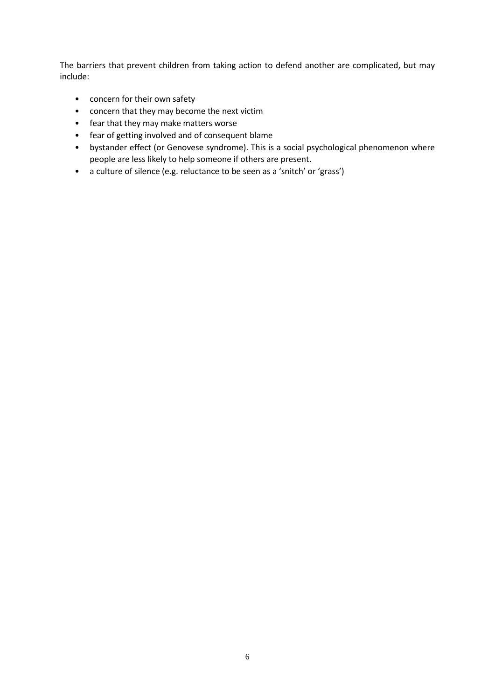The barriers that prevent children from taking action to defend another are complicated, but may include:

- concern for their own safety
- concern that they may become the next victim
- fear that they may make matters worse
- fear of getting involved and of consequent blame
- bystander effect (or Genovese syndrome). This is a social psychological phenomenon where people are less likely to help someone if others are present.
- a culture of silence (e.g. reluctance to be seen as a 'snitch' or 'grass')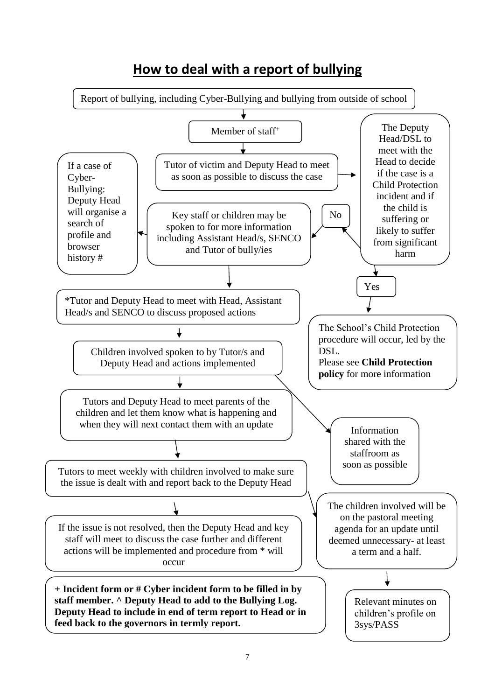# **How to deal with a report of bullying**

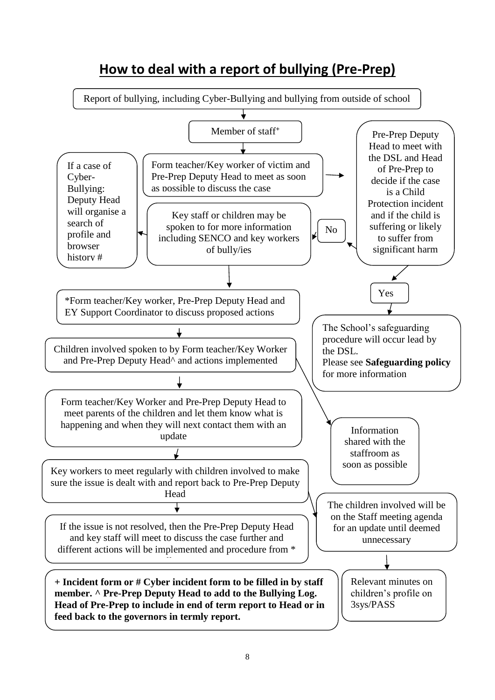

# **How to deal with a report of bullying (Pre-Prep)**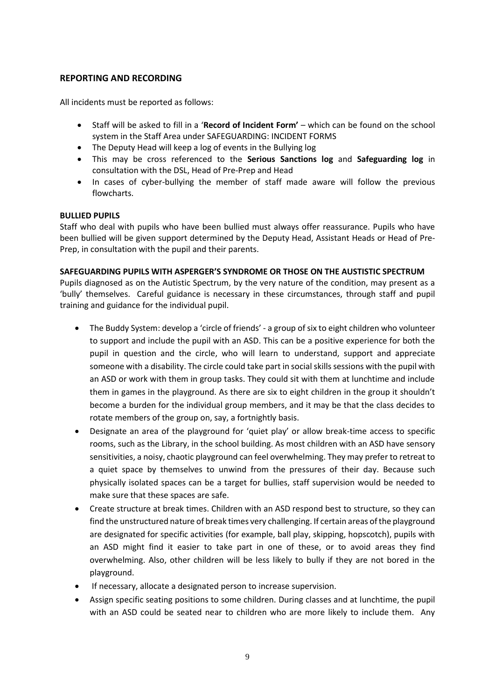# **REPORTING AND RECORDING**

All incidents must be reported as follows:

- Staff will be asked to fill in a '**Record of Incident Form'** which can be found on the school system in the Staff Area under SAFEGUARDING: INCIDENT FORMS
- The Deputy Head will keep a log of events in the Bullying log
- This may be cross referenced to the **Serious Sanctions log** and **Safeguarding log** in consultation with the DSL, Head of Pre-Prep and Head
- In cases of cyber-bullying the member of staff made aware will follow the previous flowcharts.

# **BULLIED PUPILS**

Staff who deal with pupils who have been bullied must always offer reassurance. Pupils who have been bullied will be given support determined by the Deputy Head, Assistant Heads or Head of Pre-Prep, in consultation with the pupil and their parents.

#### **SAFEGUARDING PUPILS WITH ASPERGER'S SYNDROME OR THOSE ON THE AUSTISTIC SPECTRUM**

Pupils diagnosed as on the Autistic Spectrum, by the very nature of the condition, may present as a 'bully' themselves. Careful guidance is necessary in these circumstances, through staff and pupil training and guidance for the individual pupil.

- The Buddy System: develop a 'circle of friends' a group of six to eight children who volunteer to support and include the pupil with an ASD. This can be a positive experience for both the pupil in question and the circle, who will learn to understand, support and appreciate someone with a disability. The circle could take part in social skills sessions with the pupil with an ASD or work with them in group tasks. They could sit with them at lunchtime and include them in games in the playground. As there are six to eight children in the group it shouldn't become a burden for the individual group members, and it may be that the class decides to rotate members of the group on, say, a fortnightly basis.
- Designate an area of the playground for 'quiet play' or allow break-time access to specific rooms, such as the Library, in the school building. As most children with an ASD have sensory sensitivities, a noisy, chaotic playground can feel overwhelming. They may prefer to retreat to a quiet space by themselves to unwind from the pressures of their day. Because such physically isolated spaces can be a target for bullies, staff supervision would be needed to make sure that these spaces are safe.
- Create structure at break times. Children with an ASD respond best to structure, so they can find the unstructured nature of break times very challenging. If certain areas of the playground are designated for specific activities (for example, ball play, skipping, hopscotch), pupils with an ASD might find it easier to take part in one of these, or to avoid areas they find overwhelming. Also, other children will be less likely to bully if they are not bored in the playground.
- If necessary, allocate a designated person to increase supervision.
- Assign specific seating positions to some children. During classes and at lunchtime, the pupil with an ASD could be seated near to children who are more likely to include them. Any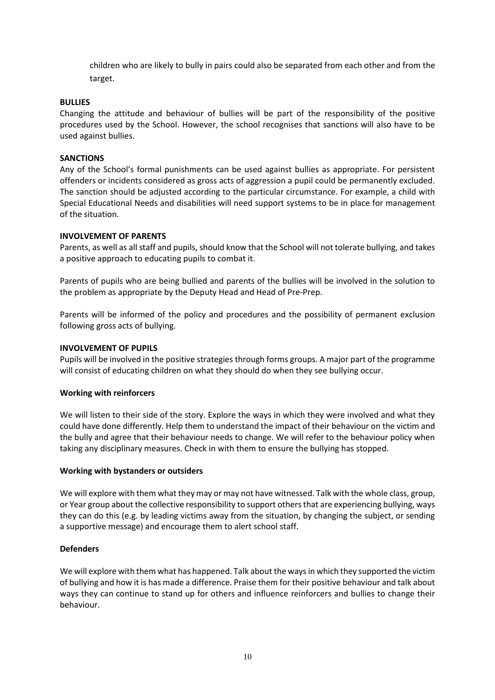children who are likely to bully in pairs could also be separated from each other and from the target.

# **BULLIES**

Changing the attitude and behaviour of bullies will be part of the responsibility of the positive procedures used by the School. However, the school recognises that sanctions will also have to be used against bullies.

#### **SANCTIONS**

Any of the School's formal punishments can be used against bullies as appropriate. For persistent offenders or incidents considered as gross acts of aggression a pupil could be permanently excluded. The sanction should be adjusted according to the particular circumstance. For example, a child with Special Educational Needs and disabilities will need support systems to be in place for management of the situation.

# **INVOLVEMENT OF PARENTS**

Parents, as well as all staff and pupils, should know that the School will not tolerate bullying, and takes a positive approach to educating pupils to combat it.

Parents of pupils who are being bullied and parents of the bullies will be involved in the solution to the problem as appropriate by the Deputy Head and Head of Pre-Prep.

Parents will be informed of the policy and procedures and the possibility of permanent exclusion following gross acts of bullying.

#### **INVOLVEMENT OF PUPILS**

Pupils will be involved in the positive strategies through forms groups. A major part of the programme will consist of educating children on what they should do when they see bullying occur.

#### **Working with reinforcers**

We will listen to their side of the story. Explore the ways in which they were involved and what they could have done differently. Help them to understand the impact of their behaviour on the victim and the bully and agree that their behaviour needs to change. We will refer to the behaviour policy when taking any disciplinary measures. Check in with them to ensure the bullying has stopped.

#### **Working with bystanders or outsiders**

We will explore with them what they may or may not have witnessed. Talk with the whole class, group, or Year group about the collective responsibility to support others that are experiencing bullying, ways they can do this (e.g. by leading victims away from the situation, by changing the subject, or sending a supportive message) and encourage them to alert school staff.

#### **Defenders**

We will explore with them what has happened. Talk about the ways in which they supported the victim of bullying and how it is has made a difference. Praise them for their positive behaviour and talk about ways they can continue to stand up for others and influence reinforcers and bullies to change their behaviour.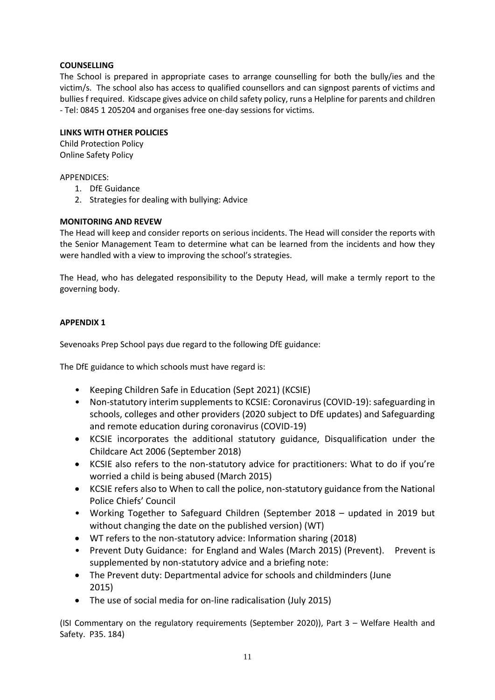# **COUNSELLING**

The School is prepared in appropriate cases to arrange counselling for both the bully/ies and the victim/s. The school also has access to qualified counsellors and can signpost parents of victims and bullies f required. Kidscape gives advice on child safety policy, runs a Helpline for parents and children - Tel: 0845 1 205204 and organises free one-day sessions for victims.

#### **LINKS WITH OTHER POLICIES**

Child Protection Policy Online Safety Policy

APPENDICES:

- 1. DfE Guidance
- 2. Strategies for dealing with bullying: Advice

# **MONITORING AND REVEW**

The Head will keep and consider reports on serious incidents. The Head will consider the reports with the Senior Management Team to determine what can be learned from the incidents and how they were handled with a view to improving the school's strategies.

The Head, who has delegated responsibility to the Deputy Head, will make a termly report to the governing body.

# **APPENDIX 1**

Sevenoaks Prep School pays due regard to the following DfE guidance:

The DfE guidance to which schools must have regard is:

- Keeping Children Safe in Education (Sept 2021) (KCSIE)
- Non-statutory interim supplements to KCSIE: Coronavirus (COVID-19): safeguarding in schools, colleges and other providers (2020 subject to DfE updates) and Safeguarding and remote education during coronavirus (COVID-19)
- KCSIE incorporates the additional statutory guidance, Disqualification under the Childcare Act 2006 (September 2018)
- KCSIE also refers to the non-statutory advice for practitioners: What to do if you're worried a child is being abused (March 2015)
- KCSIE refers also to When to call the police, non-statutory guidance from the National Police Chiefs' Council
- Working Together to Safeguard Children (September 2018 updated in 2019 but without changing the date on the published version) (WT)
- WT refers to the non-statutory advice: Information sharing (2018)
- Prevent Duty Guidance: for England and Wales (March 2015) (Prevent). Prevent is supplemented by non-statutory advice and a briefing note:
- The Prevent duty: Departmental advice for schools and childminders (June 2015)
- The use of social media for on-line radicalisation (July 2015)

(ISI Commentary on the regulatory requirements (September 2020)), Part 3 – Welfare Health and Safety. P35. 184)